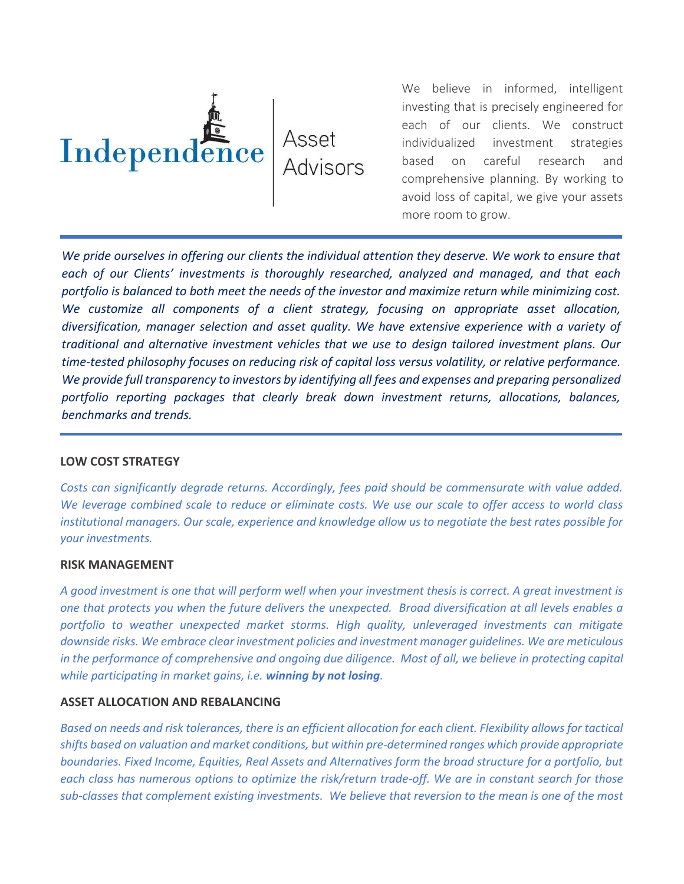

We believe in informed, intelligent investing that is precisely engineered for each of our clients. We construct individualized investment strategies based on careful research and comprehensive planning. By working to avoid loss of capital, we give your assets more room to grow.

*We pride ourselves in offering our clients the individual attention they deserve. We work to ensure that each of our Clients' investments is thoroughly researched, analyzed and managed, and that each portfolio is balanced to both meet the needs of the investor and maximize return while minimizing cost. We customize all components of a client strategy, focusing on appropriate asset allocation, diversification, manager selection and asset quality. We have extensive experience with a variety of traditional and alternative investment vehicles that we use to design tailored investment plans. Our time-tested philosophy focuses on reducing risk of capital loss versus volatility, or relative performance. We provide full transparency to investors by identifying all fees and expenses and preparing personalized portfolio reporting packages that clearly break down investment returns, allocations, balances, benchmarks and trends.* 

## **LOW COST STRATEGY**

*Costs can significantly degrade returns. Accordingly, fees paid should be commensurate with value added. We leverage combined scale to reduce or eliminate costs. We use our scale to offer access to world class institutional managers. Our scale, experience and knowledge allow us to negotiate the best rates possible for your investments.*

## **RISK MANAGEMENT**

*A good investment is one that will perform well when your investment thesis is correct. A great investment is one that protects you when the future delivers the unexpected. Broad diversification at all levels enables a portfolio to weather unexpected market storms. High quality, unleveraged investments can mitigate downside risks. We embrace clear investment policies and investment manager guidelines. We are meticulous*  in the performance of comprehensive and ongoing due diligence. Most of all, we believe in protecting capital *while participating in market gains, i.e. winning by not losing.* 

## **ASSET ALLOCATION AND REBALANCING**

*Based on needs and risk tolerances, there is an efficient allocation for each client. Flexibility allows for tactical shifts based on valuation and market conditions, but within pre-determined ranges which provide appropriate boundaries. Fixed Income, Equities, Real Assets and Alternatives form the broad structure for a portfolio, but each class has numerous options to optimize the risk/return trade-off. We are in constant search for those sub-classes that complement existing investments. We believe that reversion to the mean is one of the most*